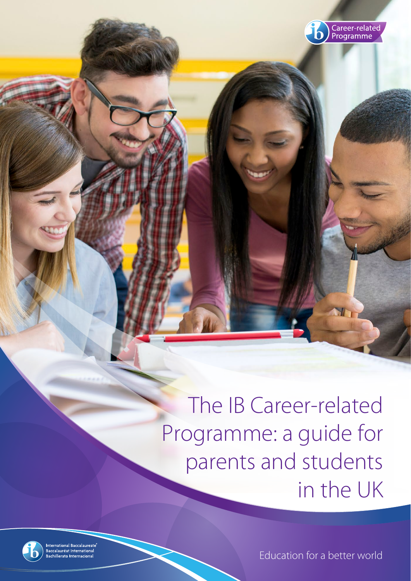

The IB Career-related Programme: a guide for parents and students in the UK



International Baccalaureate<br>Baccalauréat International<br>Bachillerato Internacional

Education for a better world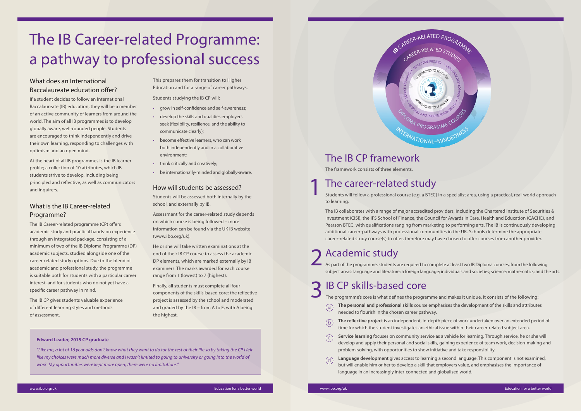Students will follow a professional course (e.g. a BTEC) in a specialist area, using a practical, real-world approach to learning.

### The career-related study 1

The IB collaborates with a range of major accredited providers, including the Chartered Institute of Securities & Investment (CISI), the IFS School of Finance, the Council for Awards in Care, Health and Education (CACHE), and Pearson BTEC, with qualifications ranging from marketing to performing arts. The IB is continuously developing additional career-pathways with professional communities in the UK. Schools determine the appropriate career-related study course(s) to offer, therefore may have chosen to offer courses from another provider.

2 Academic study<br>As part of the programme, students are required to complete at least two IB Diploma courses, from the following subject areas: language and literature; a foreign language; individuals and societies; science; mathematics; and the arts.

- needed to flourish in the chosen career pathway.  $(a)$
- **The reflective project** is an independent, in-depth piece of work undertaken over an extended period of time for which the student investigates an ethical issue within their career-related subject area.  $(b)$
- **Service learning** focuses on community service as a vehicle for learning. Through service, he or she will develop and apply their personal and social skills, gaining experience of team work, decision-making and problem-solving, with opportunities to show initiative and take responsibility.  $(c)$
- **Language development** gives access to learning a second language. This component is not examined, but will enable him or her to develop a skill that employers value, and emphasises the importance of language in an increasingly inter-connected and globalised world.  $(d)$

# Academic study

### 3 IB CP skills-based core

The programme's core is what defines the programme and makes it unique. It consists of the following: **The personal and professional skills** course emphasises the development of the skills and attributes

### The IB CP framework

The framework consists of three elements.

### What does an International Baccalaureate education offer?

If a student decides to follow an International Baccalaureate (IB) education, they will be a member of an active community of learners from around the world. The aim of all IB programmes is to develop globally aware, well-rounded people. Students are encouraged to think independently and drive their own learning, responding to challenges with optimism and an open mind.

At the heart of all IB programmes is the IB learner profile; a collection of 10 attributes, which IB students strive to develop, including being principled and reflective, as well as communicators and inquirers.

### What is the IB Career-related Programme?

The IB Career-related programme (CP) offers academic study and practical hands-on experience through an integrated package, consisting of a minimum of two of the IB Diploma Programme (DP) academic subjects, studied alongside one of the career-related study options. Due to the blend of academic and professional study, the programme is suitable both for students with a particular career interest, and for students who do not yet have a specific career pathway in mind.

The IB CP gives students valuable experience of different learning styles and methods of assessment.

This prepares them for transition to Higher Education and for a range of career pathways.

Students studying the IB CP will:

- grow in self-confidence and self-awareness;
- develop the skills and qualities employers seek (flexibility, resilience, and the ability to communicate clearly);
- become effective learners, who can work both independently and in a collaborative environment;
- think critically and creatively;
- be internationally-minded and globally-aware.

#### How will students be assessed?

Students will be assessed both internally by the school, and externally by IB.

Assessment for the career-related study depends on which course is being followed – more information can be found via the UK IB website (www.ibo.org/uk).

He or she will take written examinations at the end of their IB CP course to assess the academic DP elements, which are marked externally by IB examiners. The marks awarded for each course range from 1 (lowest) to 7 (highest).

Finally, all students must complete all four components of the skills-based core: the reflective project is assessed by the school and moderated and graded by the IB – from A to E, with A being the highest.

# The IB Career-related Programme: a pathway to professional success

#### **Edward Leader, 2015 CP graduate**

*"Like me, a lot of 16 year olds don't know what they want to do for the rest of their life so by taking the CP I felt like my choices were much more diverse and I wasn't limited to going to university or going into the world of work. My opportunities were kept more open; there were no limitations."*